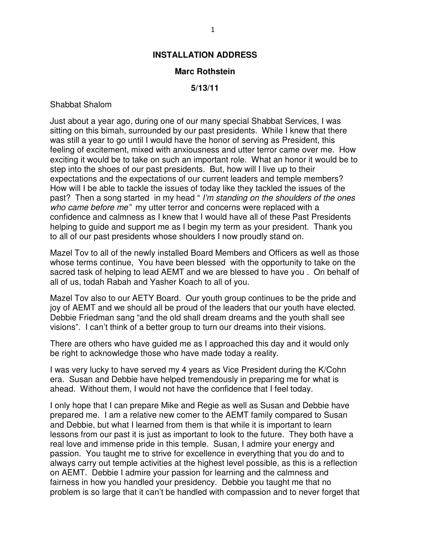## **Marc Rothstein**

## **5/13/11**

## Shabbat Shalom

Just about a year ago, during one of our many special Shabbat Services, I was sitting on this bimah, surrounded by our past presidents. While I knew that there was still a year to go until I would have the honor of serving as President, this feeling of excitement, mixed with anxiousness and utter terror came over me. How exciting it would be to take on such an important role. What an honor it would be to step into the shoes of our past presidents. But, how will I live up to their expectations and the expectations of our current leaders and temple members? How will I be able to tackle the issues of today like they tackled the issues of the past? Then a song started in my head " I'm standing on the shoulders of the ones who came before me" my utter terror and concerns were replaced with a confidence and calmness as I knew that I would have all of these Past Presidents helping to guide and support me as I begin my term as your president. Thank you to all of our past presidents whose shoulders I now proudly stand on.

Mazel Tov to all of the newly installed Board Members and Officers as well as those whose terms continue, You have been blessed with the opportunity to take on the sacred task of helping to lead AEMT and we are blessed to have you . On behalf of all of us, todah Rabah and Yasher Koach to all of you.

Mazel Tov also to our AETY Board. Our youth group continues to be the pride and joy of AEMT and we should all be proud of the leaders that our youth have elected. Debbie Friedman sang "and the old shall dream dreams and the youth shall see visions". I can't think of a better group to turn our dreams into their visions.

There are others who have guided me as I approached this day and it would only be right to acknowledge those who have made today a reality.

I was very lucky to have served my 4 years as Vice President during the K/Cohn era. Susan and Debbie have helped tremendously in preparing me for what is ahead. Without them, I would not have the confidence that I feel today.

I only hope that I can prepare Mike and Regie as well as Susan and Debbie have prepared me. I am a relative new comer to the AEMT family compared to Susan and Debbie, but what I learned from them is that while it is important to learn lessons from our past it is just as important to look to the future. They both have a real love and immense pride in this temple. Susan, I admire your energy and passion. You taught me to strive for excellence in everything that you do and to always carry out temple activities at the highest level possible, as this is a reflection on AEMT. Debbie I admire your passion for learning and the calmness and fairness in how you handled your presidency. Debbie you taught me that no problem is so large that it can't be handled with compassion and to never forget that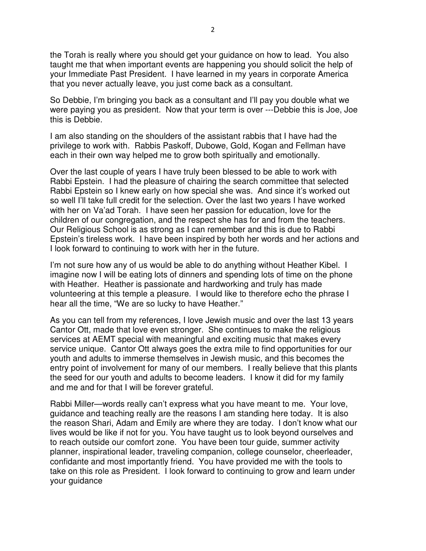the Torah is really where you should get your guidance on how to lead. You also taught me that when important events are happening you should solicit the help of your Immediate Past President. I have learned in my years in corporate America that you never actually leave, you just come back as a consultant.

So Debbie, I'm bringing you back as a consultant and I'll pay you double what we were paying you as president. Now that your term is over ---Debbie this is Joe, Joe this is Debbie.

I am also standing on the shoulders of the assistant rabbis that I have had the privilege to work with. Rabbis Paskoff, Dubowe, Gold, Kogan and Fellman have each in their own way helped me to grow both spiritually and emotionally.

Over the last couple of years I have truly been blessed to be able to work with Rabbi Epstein. I had the pleasure of chairing the search committee that selected Rabbi Epstein so I knew early on how special she was. And since it's worked out so well I'll take full credit for the selection. Over the last two years I have worked with her on Va'ad Torah. I have seen her passion for education, love for the children of our congregation, and the respect she has for and from the teachers. Our Religious School is as strong as I can remember and this is due to Rabbi Epstein's tireless work. I have been inspired by both her words and her actions and I look forward to continuing to work with her in the future.

I'm not sure how any of us would be able to do anything without Heather Kibel. I imagine now I will be eating lots of dinners and spending lots of time on the phone with Heather. Heather is passionate and hardworking and truly has made volunteering at this temple a pleasure. I would like to therefore echo the phrase I hear all the time, "We are so lucky to have Heather."

As you can tell from my references, I love Jewish music and over the last 13 years Cantor Ott, made that love even stronger. She continues to make the religious services at AEMT special with meaningful and exciting music that makes every service unique. Cantor Ott always goes the extra mile to find opportunities for our youth and adults to immerse themselves in Jewish music, and this becomes the entry point of involvement for many of our members. I really believe that this plants the seed for our youth and adults to become leaders. I know it did for my family and me and for that I will be forever grateful.

Rabbi Miller—words really can't express what you have meant to me. Your love, guidance and teaching really are the reasons I am standing here today. It is also the reason Shari, Adam and Emily are where they are today. I don't know what our lives would be like if not for you. You have taught us to look beyond ourselves and to reach outside our comfort zone. You have been tour guide, summer activity planner, inspirational leader, traveling companion, college counselor, cheerleader, confidante and most importantly friend. You have provided me with the tools to take on this role as President. I look forward to continuing to grow and learn under your guidance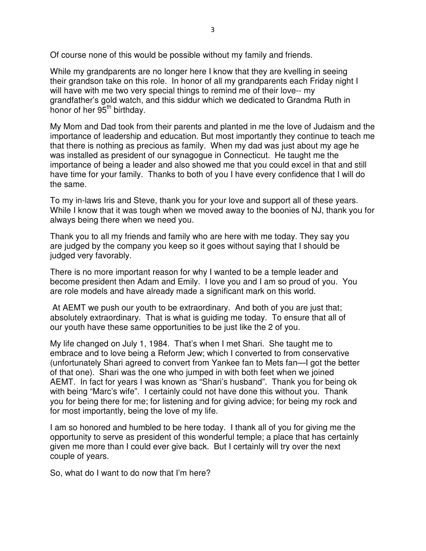Of course none of this would be possible without my family and friends.

While my grandparents are no longer here I know that they are kvelling in seeing their grandson take on this role. In honor of all my grandparents each Friday night I will have with me two very special things to remind me of their love-- my grandfather's gold watch, and this siddur which we dedicated to Grandma Ruth in honor of her 95<sup>th</sup> birthday.

My Mom and Dad took from their parents and planted in me the love of Judaism and the importance of leadership and education. But most importantly they continue to teach me that there is nothing as precious as family. When my dad was just about my age he was installed as president of our synagogue in Connecticut. He taught me the importance of being a leader and also showed me that you could excel in that and still have time for your family. Thanks to both of you I have every confidence that I will do the same.

To my in-laws Iris and Steve, thank you for your love and support all of these years. While I know that it was tough when we moved away to the boonies of NJ, thank you for always being there when we need you.

Thank you to all my friends and family who are here with me today. They say you are judged by the company you keep so it goes without saying that I should be judged very favorably.

There is no more important reason for why I wanted to be a temple leader and become president then Adam and Emily. I love you and I am so proud of you. You are role models and have already made a significant mark on this world.

 At AEMT we push our youth to be extraordinary. And both of you are just that; absolutely extraordinary. That is what is guiding me today. To ensure that all of our youth have these same opportunities to be just like the 2 of you.

My life changed on July 1, 1984. That's when I met Shari. She taught me to embrace and to love being a Reform Jew; which I converted to from conservative (unfortunately Shari agreed to convert from Yankee fan to Mets fan—I got the better of that one). Shari was the one who jumped in with both feet when we joined AEMT. In fact for years I was known as "Shari's husband". Thank you for being ok with being "Marc's wife". I certainly could not have done this without you. Thank you for being there for me; for listening and for giving advice; for being my rock and for most importantly, being the love of my life.

I am so honored and humbled to be here today. I thank all of you for giving me the opportunity to serve as president of this wonderful temple; a place that has certainly given me more than I could ever give back. But I certainly will try over the next couple of years.

So, what do I want to do now that I'm here?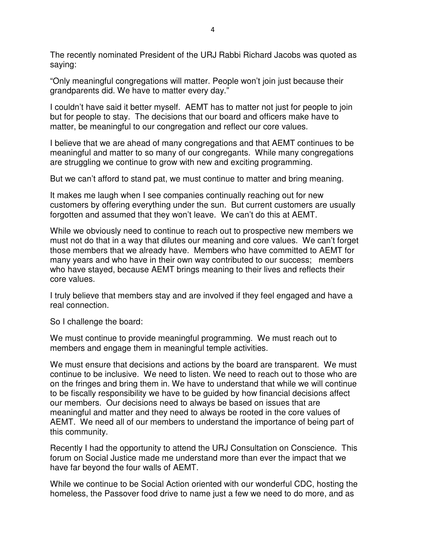The recently nominated President of the URJ Rabbi Richard Jacobs was quoted as saying:

"Only meaningful congregations will matter. People won't join just because their grandparents did. We have to matter every day."

I couldn't have said it better myself. AEMT has to matter not just for people to join but for people to stay. The decisions that our board and officers make have to matter, be meaningful to our congregation and reflect our core values.

I believe that we are ahead of many congregations and that AEMT continues to be meaningful and matter to so many of our congregants. While many congregations are struggling we continue to grow with new and exciting programming.

But we can't afford to stand pat, we must continue to matter and bring meaning.

It makes me laugh when I see companies continually reaching out for new customers by offering everything under the sun. But current customers are usually forgotten and assumed that they won't leave. We can't do this at AEMT.

While we obviously need to continue to reach out to prospective new members we must not do that in a way that dilutes our meaning and core values. We can't forget those members that we already have. Members who have committed to AEMT for many years and who have in their own way contributed to our success; members who have stayed, because AEMT brings meaning to their lives and reflects their core values.

I truly believe that members stay and are involved if they feel engaged and have a real connection.

So I challenge the board:

We must continue to provide meaningful programming. We must reach out to members and engage them in meaningful temple activities.

We must ensure that decisions and actions by the board are transparent. We must continue to be inclusive. We need to listen. We need to reach out to those who are on the fringes and bring them in. We have to understand that while we will continue to be fiscally responsibility we have to be guided by how financial decisions affect our members. Our decisions need to always be based on issues that are meaningful and matter and they need to always be rooted in the core values of AEMT. We need all of our members to understand the importance of being part of this community.

Recently I had the opportunity to attend the URJ Consultation on Conscience. This forum on Social Justice made me understand more than ever the impact that we have far beyond the four walls of AEMT.

While we continue to be Social Action oriented with our wonderful CDC, hosting the homeless, the Passover food drive to name just a few we need to do more, and as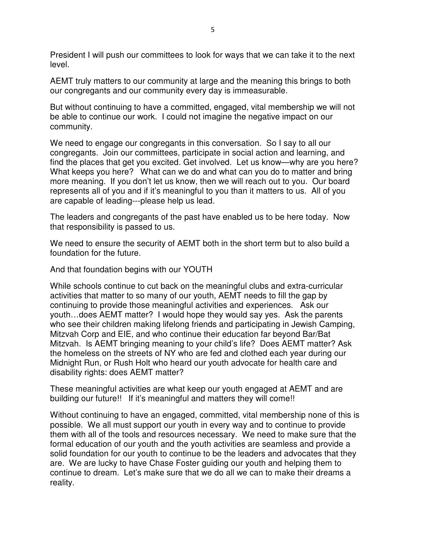President I will push our committees to look for ways that we can take it to the next level.

AEMT truly matters to our community at large and the meaning this brings to both our congregants and our community every day is immeasurable.

But without continuing to have a committed, engaged, vital membership we will not be able to continue our work. I could not imagine the negative impact on our community.

We need to engage our congregants in this conversation. So I say to all our congregants. Join our committees, participate in social action and learning, and find the places that get you excited. Get involved. Let us know—why are you here? What keeps you here? What can we do and what can you do to matter and bring more meaning. If you don't let us know, then we will reach out to you. Our board represents all of you and if it's meaningful to you than it matters to us. All of you are capable of leading---please help us lead.

The leaders and congregants of the past have enabled us to be here today. Now that responsibility is passed to us.

We need to ensure the security of AEMT both in the short term but to also build a foundation for the future.

And that foundation begins with our YOUTH

While schools continue to cut back on the meaningful clubs and extra-curricular activities that matter to so many of our youth, AEMT needs to fill the gap by continuing to provide those meaningful activities and experiences. Ask our youth…does AEMT matter? I would hope they would say yes. Ask the parents who see their children making lifelong friends and participating in Jewish Camping, Mitzvah Corp and EIE, and who continue their education far beyond Bar/Bat Mitzvah. Is AEMT bringing meaning to your child's life? Does AEMT matter? Ask the homeless on the streets of NY who are fed and clothed each year during our Midnight Run, or Rush Holt who heard our youth advocate for health care and disability rights: does AEMT matter?

These meaningful activities are what keep our youth engaged at AEMT and are building our future!! If it's meaningful and matters they will come!!

Without continuing to have an engaged, committed, vital membership none of this is possible. We all must support our youth in every way and to continue to provide them with all of the tools and resources necessary. We need to make sure that the formal education of our youth and the youth activities are seamless and provide a solid foundation for our youth to continue to be the leaders and advocates that they are. We are lucky to have Chase Foster guiding our youth and helping them to continue to dream. Let's make sure that we do all we can to make their dreams a reality.